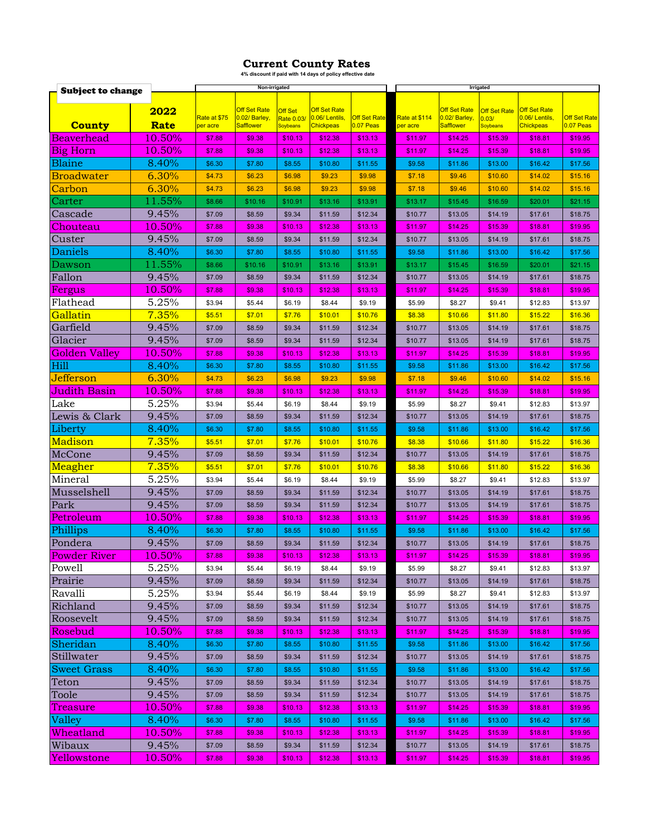## **Current County Rates 4% discount if paid with 14 days of policy effective date**

| <b>Subject to change</b> |                 | Non-irrigated            |                                   |                        |                                   |                                  | Irrigated                 |                                         |                          |                                   |                                    |
|--------------------------|-----------------|--------------------------|-----------------------------------|------------------------|-----------------------------------|----------------------------------|---------------------------|-----------------------------------------|--------------------------|-----------------------------------|------------------------------------|
|                          |                 |                          |                                   |                        |                                   |                                  |                           |                                         |                          |                                   |                                    |
|                          | 2022            |                          | <b>Off Set Rate</b>               | <b>Off Set</b>         | <b>Off Set Rate</b>               |                                  |                           | <b>Off Set Rate</b>                     | <b>Off Set Rate</b>      | <b>Off Set Rate</b>               |                                    |
| <b>County</b>            | <b>Rate</b>     | Rate at \$75<br>per acre | 0.02/ Barley,<br><b>Safflower</b> | Rate 0.03/<br>Soybeans | 0.06/Lentils,<br><b>Chickpeas</b> | <b>Off Set Rate</b><br>0.07 Peas | Rate at \$114<br>per acre | 0.02/ Barley,<br><mark>Safflower</mark> | 0.03/<br><b>Soybeans</b> | 0.06/Lentils,<br><b>Chickpeas</b> | <b>Off Set Rate</b><br>$0.07$ Peas |
| <b>Beaverhead</b>        | 10.50%          | \$7.88                   | \$9.38                            | \$10.13                | \$12.38                           | \$13.13                          | \$11.97                   | \$14.25                                 | \$15.39                  | \$18.81                           | \$19.95                            |
| Big Horn                 | 10.50%          | \$7.88                   | \$9.38                            | \$10.13                | \$12.38                           | \$13.13                          | \$11.97                   | \$14.25                                 | \$15.39                  | \$18.81                           | \$19.95                            |
| <b>Blaine</b>            | 8.40%           | \$6.30                   | \$7.80                            | \$8.55                 | \$10.80                           | \$11.55                          | \$9.58                    | \$11.86                                 | \$13.00                  | \$16.42                           | \$17.56                            |
| <b>Broadwater</b>        | 6.30%           | \$4.73                   | \$6.23                            | \$6.98                 | \$9.23                            | \$9.98                           | \$7.18                    | \$9.46                                  | \$10.60                  | \$14.02                           | \$15.16                            |
| Carbon                   | 6.30%           | \$4.73                   | \$6.23                            | \$6.98                 | \$9.23                            | \$9.98                           | \$7.18                    | \$9.46                                  | \$10.60                  | \$14.02                           | \$15.16                            |
| Carter                   | 11.55%          | \$8.66                   | \$10.16                           | \$10.91                | \$13.16                           | \$13.91                          | \$13.17                   | \$15.45                                 | \$16.59                  | \$20.01                           | \$21.15                            |
| Cascade                  | 9.45%           | \$7.09                   | \$8.59                            | \$9.34                 | \$11.59                           | \$12.34                          | \$10.77                   | \$13.05                                 | \$14.19                  | \$17.61                           | \$18.75                            |
| Chouteau                 | 10.50%          | \$7.88                   | \$9.38                            | \$10.13                | \$12.38                           | \$13.13                          | \$11.97                   | \$14.25                                 | \$15.39                  | \$18.81                           | \$19.95                            |
| Custer                   | 9.45%           | \$7.09                   | \$8.59                            | \$9.34                 | \$11.59                           | \$12.34                          | \$10.77                   | \$13.05                                 | \$14.19                  | \$17.61                           | \$18.75                            |
| Daniels                  | 8.40%           | \$6.30                   | \$7.80                            | \$8.55                 | \$10.80                           | \$11.55                          | \$9.58                    | \$11.86                                 | \$13.00                  | \$16.42                           | \$17.56                            |
| Dawson                   | 11.55%          | \$8.66                   | \$10.16                           | \$10.91                | \$13.16                           | \$13.91                          | \$13.17                   | \$15.45                                 | \$16.59                  | \$20.01                           | \$21.15                            |
| Fallon                   | 9.45%           | \$7.09                   | \$8.59                            | \$9.34                 | \$11.59                           | \$12.34                          | \$10.77                   | \$13.05                                 | \$14.19                  | \$17.61                           | \$18.75                            |
| Fergus                   | 10.50%          | \$7.88                   | \$9.38                            | \$10.13                | \$12.38                           | \$13.13                          | \$11.97                   | \$14.25                                 | \$15.39                  | \$18.81                           | \$19.95                            |
| Flathead                 | 5.25%           | \$3.94                   | \$5.44                            | \$6.19                 | \$8.44                            | \$9.19                           | \$5.99                    | \$8.27                                  | \$9.41                   | \$12.83                           | \$13.97                            |
| Gallatin                 | 7.35%           | \$5.51                   | \$7.01                            | \$7.76                 | \$10.01                           | \$10.76                          | \$8.38                    | \$10.66                                 | \$11.80                  | \$15.22                           | \$16.36                            |
| Garfield                 | 9.45%           | \$7.09                   | \$8.59                            | \$9.34                 | \$11.59                           | \$12.34                          | \$10.77                   | \$13.05                                 | \$14.19                  | \$17.61                           | \$18.75                            |
| Glacier                  | 9.45%           | \$7.09                   | \$8.59                            | \$9.34                 | \$11.59                           | \$12.34                          | \$10.77                   | \$13.05                                 | \$14.19                  | \$17.61                           | \$18.75                            |
| Golden Valley            | 10.50%          | \$7.88                   | \$9.38                            | \$10.13                | \$12.38                           | \$13.13                          | \$11.97                   | \$14.25                                 | \$15.39                  | \$18.81                           | \$19.95                            |
| Hill                     | 8.40%           | \$6.30                   | \$7.80                            | \$8.55                 | \$10.80                           | \$11.55                          | \$9.58                    | \$11.86                                 | \$13.00                  | \$16.42                           | \$17.56                            |
| Jefferson                | 6.30%           | \$4.73                   | \$6.23                            | \$6.98                 | \$9.23                            | \$9.98                           | \$7.18                    | \$9.46                                  | \$10.60                  | \$14.02                           | \$15.16                            |
| Judith Basin             | 10.50%          | \$7.88                   | \$9.38                            | \$10.13                | \$12.38                           | \$13.13                          | \$11.97                   | \$14.25                                 | \$15.39                  | \$18.81                           | \$19.95                            |
| Lake                     | 5.25%           | \$3.94                   | \$5.44                            | \$6.19                 | \$8.44                            | \$9.19                           | \$5.99                    | \$8.27                                  | \$9.41                   | \$12.83                           | \$13.97                            |
| Lewis & Clark            | 9.45%           | \$7.09                   | \$8.59                            | \$9.34                 | \$11.59                           | \$12.34                          | \$10.77                   | \$13.05                                 | \$14.19                  | \$17.61                           | \$18.75                            |
| Liberty                  | 8.40%           | \$6.30                   | \$7.80                            | \$8.55                 | \$10.80                           | \$11.55                          | \$9.58                    | \$11.86                                 | \$13.00                  | \$16.42                           | \$17.56                            |
| Madison                  | 7.35%           | \$5.51                   | \$7.01                            | \$7.76                 | \$10.01                           | \$10.76                          | \$8.38                    | \$10.66                                 | \$11.80                  | \$15.22                           | \$16.36                            |
| McCone                   | 9.45%           | \$7.09                   | \$8.59                            | \$9.34                 | \$11.59                           | \$12.34                          | \$10.77                   | \$13.05                                 | \$14.19                  | \$17.61                           | \$18.75                            |
| Meagher                  | 7.35%           | \$5.51                   | \$7.01                            | \$7.76                 | \$10.01                           | \$10.76                          | \$8.38                    | \$10.66                                 | \$11.80                  | \$15.22                           | \$16.36                            |
| Mineral                  | 5.25%           | \$3.94                   | \$5.44                            | \$6.19                 | \$8.44                            | \$9.19                           | \$5.99                    | \$8.27                                  | \$9.41                   | \$12.83                           | \$13.97                            |
| Musselshell              | 9.45%           | \$7.09                   | \$8.59                            | \$9.34                 | \$11.59                           | \$12.34                          | \$10.77                   | \$13.05                                 | \$14.19                  | \$17.61                           | \$18.75                            |
| Park                     | 9.45%           | \$7.09                   | \$8.59                            | \$9.34                 | \$11.59                           | \$12.34                          | \$10.77                   | \$13.05                                 | \$14.19                  | \$17.61                           | \$18.75                            |
| <u>Petroleum</u>         | 10.50%          | \$7.88                   | \$9.38                            | \$10.13                | \$12.38                           | \$13.13                          | \$11.97                   | \$14.25                                 | \$15.39                  | \$18.81                           | \$19.95                            |
| Phillips                 | 8.40%           | \$6.30                   | \$7.80                            | \$8.55                 | \$10.80                           | \$11.55                          | \$9.58                    | \$11.86                                 | \$13.00                  | \$16.42                           | \$17.56                            |
| Pondera                  | 9.45%           | \$7.09                   | \$8.59                            | \$9.34                 | \$11.59                           | \$12.34                          | \$10.77                   | \$13.05                                 | \$14.19                  | \$17.61                           | \$18.75                            |
| <b>Powder River</b>      | 10.50%          | 31.88                    | ৯৬.৩৪                             | \$10.13                | \$12.38                           | \$13.13                          | ≱ । । .97                 | \$14.ZO                                 | \$15.39                  | \$18.81                           | 219.95                             |
| Powell                   | 5.25%           | \$3.94                   | \$5.44                            | \$6.19                 | \$8.44                            | \$9.19                           | \$5.99                    | \$8.27                                  | \$9.41                   | \$12.83                           | \$13.97                            |
| Prairie                  | 9.45%           | \$7.09                   | \$8.59                            | \$9.34                 | \$11.59                           | \$12.34                          | \$10.77                   | \$13.05                                 | \$14.19                  | \$17.61                           | \$18.75                            |
| Ravalli                  | 5.25%           | \$3.94                   | \$5.44                            | \$6.19                 | \$8.44                            | \$9.19                           | \$5.99                    | \$8.27                                  | \$9.41                   | \$12.83                           | \$13.97                            |
| Richland                 | 9.45%           | \$7.09                   | \$8.59                            | \$9.34                 | \$11.59                           | \$12.34                          | \$10.77                   | \$13.05                                 | \$14.19                  | \$17.61                           | \$18.75                            |
| Roosevelt                | 9.45%           | \$7.09                   | \$8.59                            | \$9.34                 | \$11.59                           | \$12.34                          | \$10.77                   | \$13.05                                 | \$14.19                  | \$17.61                           | \$18.75                            |
| Rosebud                  | 10.50%          | \$7.88                   | \$9.38                            | \$10.13                | \$12.38                           | \$13.13                          | \$11.97                   | \$14.25                                 | \$15.39                  | \$18.81                           | \$19.95                            |
| Sheridan                 | 8.40%           | \$6.30                   | \$7.80                            | \$8.55                 | \$10.80                           | \$11.55                          | \$9.58                    | \$11.86                                 | \$13.00                  | \$16.42                           | \$17.56                            |
| Stillwater               | 9.45%           | \$7.09                   | \$8.59                            | \$9.34                 | \$11.59                           | \$12.34                          | \$10.77                   | \$13.05                                 | \$14.19                  | \$17.61                           | \$18.75                            |
| <b>Sweet Grass</b>       | 8.40%           | \$6.30                   | \$7.80                            | \$8.55                 | \$10.80                           | \$11.55                          | \$9.58                    | \$11.86                                 | \$13.00                  | \$16.42                           | \$17.56                            |
| Teton                    | 9.45%           | \$7.09                   | \$8.59                            | \$9.34                 | \$11.59                           | \$12.34                          | \$10.77                   | \$13.05                                 | \$14.19                  | \$17.61                           | \$18.75                            |
| Toole                    | 9.45%           | \$7.09                   | \$8.59                            | \$9.34                 | \$11.59                           | \$12.34                          | \$10.77                   | \$13.05                                 | \$14.19                  | \$17.61                           | \$18.75                            |
| Treasure                 | 10.50%          | \$7.88                   | \$9.38                            | \$10.13                | \$12.38                           | \$13.13                          | \$11.97                   | \$14.25                                 | \$15.39                  | \$18.81                           | \$19.95                            |
| Valley                   | 8.40%<br>10.50% | \$6.30                   | \$7.80                            | \$8.55                 | \$10.80                           | \$11.55                          | \$9.58                    | \$11.86                                 | \$13.00                  | \$16.42                           | \$17.56                            |
| Wheatland<br>Wibaux      | 9.45%           | \$7.88<br>\$7.09         | \$9.38<br>\$8.59                  | \$10.13<br>\$9.34      | \$12.38                           | \$13.13<br>\$12.34               | \$11.97                   | \$14.25<br>\$13.05                      | \$15.39                  | \$18.81                           | \$19.95                            |
| Yellowstone              | 10.50%          | \$7.88                   | \$9.38                            | \$10.13                | \$11.59<br>\$12.38                | \$13.13                          | \$10.77<br>\$11.97        | \$14.25                                 | \$14.19<br>\$15.39       | \$17.61<br>\$18.81                | \$18.75<br>\$19.95                 |
|                          |                 |                          |                                   |                        |                                   |                                  |                           |                                         |                          |                                   |                                    |